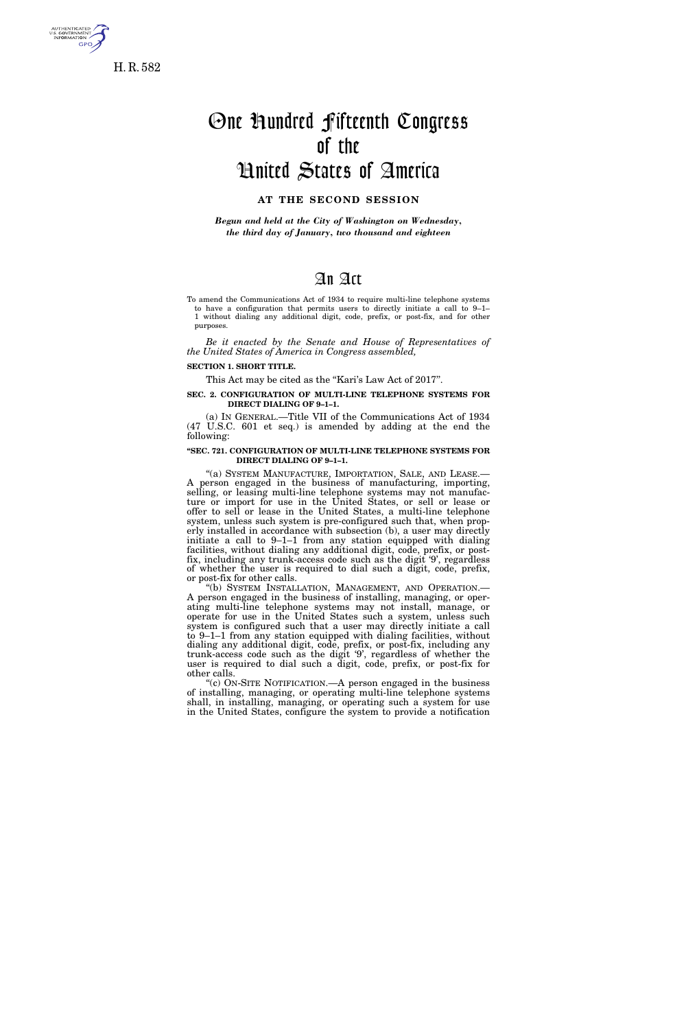

**GPO** 

One Hundred Fifteenth Congress of the United States of America

# **AT THE SECOND SESSION**

*Begun and held at the City of Washington on Wednesday, the third day of January, two thousand and eighteen* 

# An Act

To amend the Communications Act of 1934 to require multi-line telephone systems to have a configuration that permits users to directly initiate a call to 9–1– 1 without dialing any additional digit, code, prefix, or post-fix, and for other purposes.

*Be it enacted by the Senate and House of Representatives of the United States of America in Congress assembled,* 

## **SECTION 1. SHORT TITLE.**

This Act may be cited as the "Kari's Law Act of 2017".

#### **SEC. 2. CONFIGURATION OF MULTI-LINE TELEPHONE SYSTEMS FOR DIRECT DIALING OF 9–1–1.**

(a) IN GENERAL.—Title VII of the Communications Act of 1934 (47 U.S.C. 601 et seq.) is amended by adding at the end the following:

#### **''SEC. 721. CONFIGURATION OF MULTI-LINE TELEPHONE SYSTEMS FOR DIRECT DIALING OF 9–1–1.**

"(a) SYSTEM MANUFACTURE, IMPORTATION, SALE, AND LEASE.-A person engaged in the business of manufacturing, importing, selling, or leasing multi-line telephone systems may not manufacture or import for use in the United States, or sell or lease or offer to sell or lease in the United States, a multi-line telephone system, unless such system is pre-configured such that, when properly installed in accordance with subsection (b), a user may directly initiate a call to 9–1–1 from any station equipped with dialing facilities, without dialing any additional digit, code, prefix, or postfix, including any trunk-access code such as the digit '9', regardless of whether the user is required to dial such a digit, code, prefix, or post-fix for other calls.

''(b) SYSTEM INSTALLATION, MANAGEMENT, AND OPERATION.— A person engaged in the business of installing, managing, or operating multi-line telephone systems may not install, manage, or operate for use in the United States such a system, unless such system is configured such that a user may directly initiate a call to 9–1–1 from any station equipped with dialing facilities, without dialing any additional digit, code, prefix, or post-fix, including any trunk-access code such as the digit '9', regardless of whether the user is required to dial such a digit, code, prefix, or post-fix for other calls.

''(c) ON-SITE NOTIFICATION.—A person engaged in the business of installing, managing, or operating multi-line telephone systems shall, in installing, managing, or operating such a system for use in the United States, configure the system to provide a notification